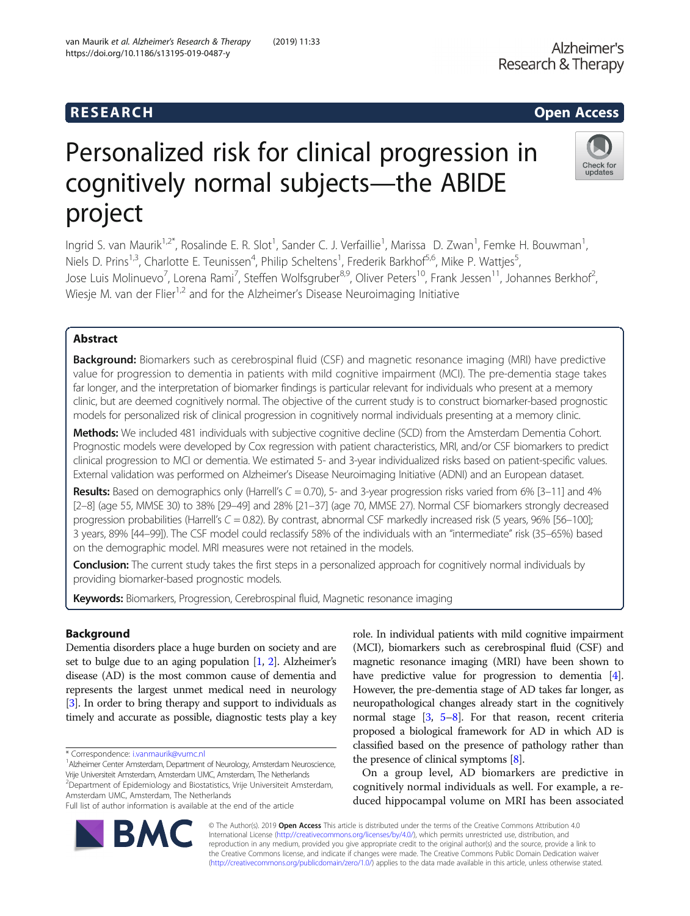# Personalized risk for clinical progression in cognitively normal subjects—the ABIDE project

Ingrid S. van Maurik<sup>1,2\*</sup>, Rosalinde E. R. Slot<sup>1</sup>, Sander C. J. Verfaillie<sup>1</sup>, Marissa D. Zwan<sup>1</sup>, Femke H. Bouwman<sup>1</sup> , Niels D. Prins<sup>1,3</sup>, Charlotte E. Teunissen<sup>4</sup>, Philip Scheltens<sup>1</sup>, Frederik Barkhof<sup>5,6</sup>, Mike P. Wattjes<sup>5</sup> , Jose Luis Molinuevo<sup>7</sup>, Lorena Rami<sup>7</sup>, Steffen Wolfsgruber<sup>8,9</sup>, Oliver Peters<sup>10</sup>, Frank Jessen<sup>11</sup>, Johannes Berkhof<sup>2</sup> , Wiesje M. van der Flier<sup>1,2</sup> and for the Alzheimer's Disease Neuroimaging Initiative

# Abstract

Background: Biomarkers such as cerebrospinal fluid (CSF) and magnetic resonance imaging (MRI) have predictive value for progression to dementia in patients with mild cognitive impairment (MCI). The pre-dementia stage takes far longer, and the interpretation of biomarker findings is particular relevant for individuals who present at a memory clinic, but are deemed cognitively normal. The objective of the current study is to construct biomarker-based prognostic models for personalized risk of clinical progression in cognitively normal individuals presenting at a memory clinic.

Methods: We included 481 individuals with subjective cognitive decline (SCD) from the Amsterdam Dementia Cohort. Prognostic models were developed by Cox regression with patient characteristics, MRI, and/or CSF biomarkers to predict clinical progression to MCI or dementia. We estimated 5- and 3-year individualized risks based on patient-specific values. External validation was performed on Alzheimer's Disease Neuroimaging Initiative (ADNI) and an European dataset.

Results: Based on demographics only (Harrell's  $C = 0.70$ ), 5- and 3-year progression risks varied from 6% [3-11] and 4% [2–8] (age 55, MMSE 30) to 38% [29–49] and 28% [21–37] (age 70, MMSE 27). Normal CSF biomarkers strongly decreased progression probabilities (Harrell's  $C = 0.82$ ). By contrast, abnormal CSF markedly increased risk (5 years, 96% [56–100]; 3 years, 89% [44–99]). The CSF model could reclassify 58% of the individuals with an "intermediate" risk (35–65%) based on the demographic model. MRI measures were not retained in the models.

**Conclusion:** The current study takes the first steps in a personalized approach for cognitively normal individuals by providing biomarker-based prognostic models.

Keywords: Biomarkers, Progression, Cerebrospinal fluid, Magnetic resonance imaging

# Background

Dementia disorders place a huge burden on society and are set to bulge due to an aging population [\[1](#page-7-0), [2](#page-8-0)]. Alzheimer's disease (AD) is the most common cause of dementia and represents the largest unmet medical need in neurology [[3](#page-8-0)]. In order to bring therapy and support to individuals as timely and accurate as possible, diagnostic tests play a key

\* Correspondence: [i.vanmaurik@vumc.nl](mailto:i.vanmaurik@vumc.nl) <sup>1</sup>

<sup>1</sup> Alzheimer Center Amsterdam, Department of Neurology, Amsterdam Neuroscience, Vrije Universiteit Amsterdam, Amsterdam UMC, Amsterdam, The Netherlands <sup>2</sup>Department of Epidemiology and Biostatistics, Vrije Universiteit Amsterdam,

Amsterdam UMC, Amsterdam, The Netherlands Full list of author information is available at the end of the article

© The Author(s). 2019 Open Access This article is distributed under the terms of the Creative Commons Attribution 4.0 International License [\(http://creativecommons.org/licenses/by/4.0/](http://creativecommons.org/licenses/by/4.0/)), which permits unrestricted use, distribution, and reproduction in any medium, provided you give appropriate credit to the original author(s) and the source, provide a link to the Creative Commons license, and indicate if changes were made. The Creative Commons Public Domain Dedication waiver [\(http://creativecommons.org/publicdomain/zero/1.0/](http://creativecommons.org/publicdomain/zero/1.0/)) applies to the data made available in this article, unless otherwise stated.

role. In individual patients with mild cognitive impairment (MCI), biomarkers such as cerebrospinal fluid (CSF) and magnetic resonance imaging (MRI) have been shown to have predictive value for progression to dementia [[4](#page-8-0)]. However, the pre-dementia stage of AD takes far longer, as neuropathological changes already start in the cognitively normal stage [\[3](#page-8-0), [5](#page-8-0)–[8](#page-8-0)]. For that reason, recent criteria proposed a biological framework for AD in which AD is classified based on the presence of pathology rather than the presence of clinical symptoms  $[8]$ .

On a group level, AD biomarkers are predictive in cognitively normal individuals as well. For example, a reduced hippocampal volume on MRI has been associated



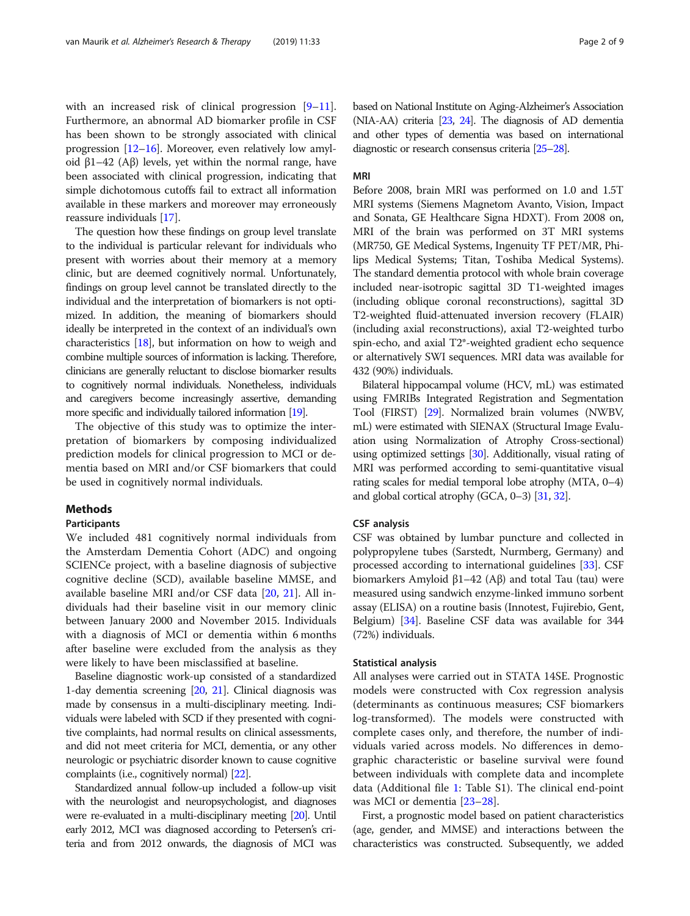with an increased risk of clinical progression [[9](#page-8-0)–[11](#page-8-0)]. Furthermore, an abnormal AD biomarker profile in CSF has been shown to be strongly associated with clinical progression [\[12](#page-8-0)–[16](#page-8-0)]. Moreover, even relatively low amyloid  $β1-42$  (A $β$ ) levels, yet within the normal range, have been associated with clinical progression, indicating that simple dichotomous cutoffs fail to extract all information available in these markers and moreover may erroneously reassure individuals [\[17\]](#page-8-0).

The question how these findings on group level translate to the individual is particular relevant for individuals who present with worries about their memory at a memory clinic, but are deemed cognitively normal. Unfortunately, findings on group level cannot be translated directly to the individual and the interpretation of biomarkers is not optimized. In addition, the meaning of biomarkers should ideally be interpreted in the context of an individual's own characteristics [[18](#page-8-0)], but information on how to weigh and combine multiple sources of information is lacking. Therefore, clinicians are generally reluctant to disclose biomarker results to cognitively normal individuals. Nonetheless, individuals and caregivers become increasingly assertive, demanding more specific and individually tailored information [\[19\]](#page-8-0).

The objective of this study was to optimize the interpretation of biomarkers by composing individualized prediction models for clinical progression to MCI or dementia based on MRI and/or CSF biomarkers that could be used in cognitively normal individuals.

## Methods

## Participants

We included 481 cognitively normal individuals from the Amsterdam Dementia Cohort (ADC) and ongoing SCIENCe project, with a baseline diagnosis of subjective cognitive decline (SCD), available baseline MMSE, and available baseline MRI and/or CSF data [[20,](#page-8-0) [21](#page-8-0)]. All individuals had their baseline visit in our memory clinic between January 2000 and November 2015. Individuals with a diagnosis of MCI or dementia within 6 months after baseline were excluded from the analysis as they were likely to have been misclassified at baseline.

Baseline diagnostic work-up consisted of a standardized 1-day dementia screening [[20,](#page-8-0) [21\]](#page-8-0). Clinical diagnosis was made by consensus in a multi-disciplinary meeting. Individuals were labeled with SCD if they presented with cognitive complaints, had normal results on clinical assessments, and did not meet criteria for MCI, dementia, or any other neurologic or psychiatric disorder known to cause cognitive complaints (i.e., cognitively normal) [\[22\]](#page-8-0).

Standardized annual follow-up included a follow-up visit with the neurologist and neuropsychologist, and diagnoses were re-evaluated in a multi-disciplinary meeting [[20\]](#page-8-0). Until early 2012, MCI was diagnosed according to Petersen's criteria and from 2012 onwards, the diagnosis of MCI was based on National Institute on Aging-Alzheimer's Association (NIA-AA) criteria [\[23,](#page-8-0) [24\]](#page-8-0). The diagnosis of AD dementia and other types of dementia was based on international diagnostic or research consensus criteria [\[25](#page-8-0)–[28\]](#page-8-0).

## MRI

Before 2008, brain MRI was performed on 1.0 and 1.5T MRI systems (Siemens Magnetom Avanto, Vision, Impact and Sonata, GE Healthcare Signa HDXT). From 2008 on, MRI of the brain was performed on 3T MRI systems (MR750, GE Medical Systems, Ingenuity TF PET/MR, Philips Medical Systems; Titan, Toshiba Medical Systems). The standard dementia protocol with whole brain coverage included near-isotropic sagittal 3D T1-weighted images (including oblique coronal reconstructions), sagittal 3D T2-weighted fluid-attenuated inversion recovery (FLAIR) (including axial reconstructions), axial T2-weighted turbo spin-echo, and axial T2\*-weighted gradient echo sequence or alternatively SWI sequences. MRI data was available for 432 (90%) individuals.

Bilateral hippocampal volume (HCV, mL) was estimated using FMRIBs Integrated Registration and Segmentation Tool (FIRST) [\[29](#page-8-0)]. Normalized brain volumes (NWBV, mL) were estimated with SIENAX (Structural Image Evaluation using Normalization of Atrophy Cross-sectional) using optimized settings [[30](#page-8-0)]. Additionally, visual rating of MRI was performed according to semi-quantitative visual rating scales for medial temporal lobe atrophy (MTA, 0–4) and global cortical atrophy (GCA, 0–3) [\[31,](#page-8-0) [32\]](#page-8-0).

## CSF analysis

CSF was obtained by lumbar puncture and collected in polypropylene tubes (Sarstedt, Nurmberg, Germany) and processed according to international guidelines [[33](#page-8-0)]. CSF biomarkers Amyloid β1–42 (Aβ) and total Tau (tau) were measured using sandwich enzyme-linked immuno sorbent assay (ELISA) on a routine basis (Innotest, Fujirebio, Gent, Belgium) [[34](#page-8-0)]. Baseline CSF data was available for 344 (72%) individuals.

## Statistical analysis

All analyses were carried out in STATA 14SE. Prognostic models were constructed with Cox regression analysis (determinants as continuous measures; CSF biomarkers log-transformed). The models were constructed with complete cases only, and therefore, the number of individuals varied across models. No differences in demographic characteristic or baseline survival were found between individuals with complete data and incomplete data (Additional file [1](#page-7-0): Table S1). The clinical end-point was MCI or dementia [\[23](#page-8-0)–[28\]](#page-8-0).

First, a prognostic model based on patient characteristics (age, gender, and MMSE) and interactions between the characteristics was constructed. Subsequently, we added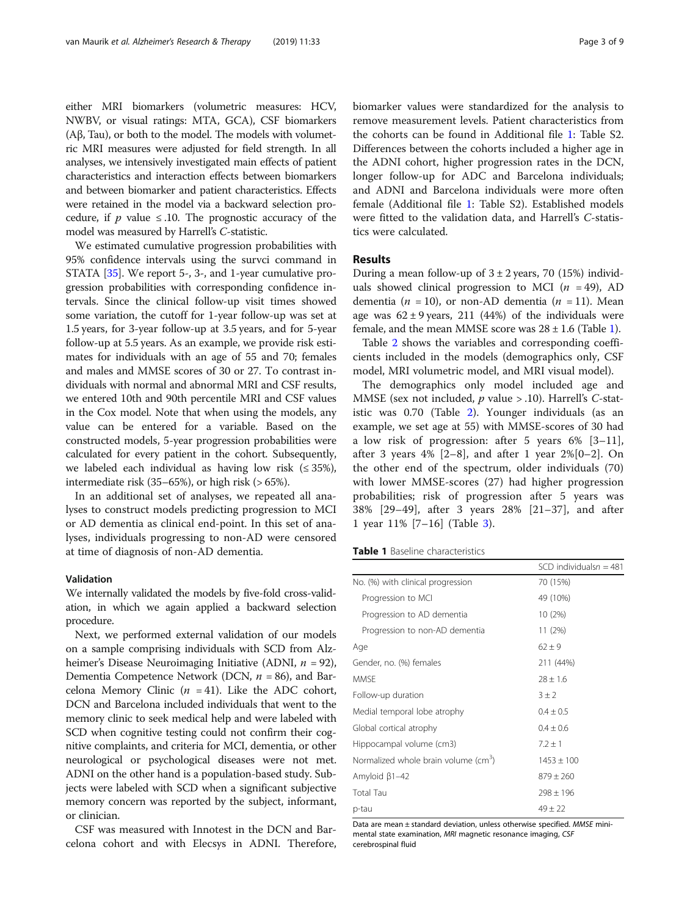either MRI biomarkers (volumetric measures: HCV, NWBV, or visual ratings: MTA, GCA), CSF biomarkers (Aβ, Tau), or both to the model. The models with volumetric MRI measures were adjusted for field strength. In all analyses, we intensively investigated main effects of patient characteristics and interaction effects between biomarkers and between biomarker and patient characteristics. Effects were retained in the model via a backward selection procedure, if p value  $\leq$  10. The prognostic accuracy of the model was measured by Harrell's C-statistic.

We estimated cumulative progression probabilities with 95% confidence intervals using the survci command in STATA [\[35\]](#page-8-0). We report 5-, 3-, and 1-year cumulative progression probabilities with corresponding confidence intervals. Since the clinical follow-up visit times showed some variation, the cutoff for 1-year follow-up was set at 1.5 years, for 3-year follow-up at 3.5 years, and for 5-year follow-up at 5.5 years. As an example, we provide risk estimates for individuals with an age of 55 and 70; females and males and MMSE scores of 30 or 27. To contrast individuals with normal and abnormal MRI and CSF results, we entered 10th and 90th percentile MRI and CSF values in the Cox model. Note that when using the models, any value can be entered for a variable. Based on the constructed models, 5-year progression probabilities were calculated for every patient in the cohort. Subsequently, we labeled each individual as having low risk  $(\leq 35\%)$ , intermediate risk  $(35–65%)$ , or high risk  $(>65%)$ .

In an additional set of analyses, we repeated all analyses to construct models predicting progression to MCI or AD dementia as clinical end-point. In this set of analyses, individuals progressing to non-AD were censored at time of diagnosis of non-AD dementia.

## Validation

We internally validated the models by five-fold cross-validation, in which we again applied a backward selection procedure.

Next, we performed external validation of our models on a sample comprising individuals with SCD from Alzheimer's Disease Neuroimaging Initiative (ADNI,  $n = 92$ ), Dementia Competence Network (DCN,  $n = 86$ ), and Barcelona Memory Clinic ( $n = 41$ ). Like the ADC cohort, DCN and Barcelona included individuals that went to the memory clinic to seek medical help and were labeled with SCD when cognitive testing could not confirm their cognitive complaints, and criteria for MCI, dementia, or other neurological or psychological diseases were not met. ADNI on the other hand is a population-based study. Subjects were labeled with SCD when a significant subjective memory concern was reported by the subject, informant, or clinician.

CSF was measured with Innotest in the DCN and Barcelona cohort and with Elecsys in ADNI. Therefore, biomarker values were standardized for the analysis to remove measurement levels. Patient characteristics from the cohorts can be found in Additional file [1:](#page-7-0) Table S2. Differences between the cohorts included a higher age in the ADNI cohort, higher progression rates in the DCN, longer follow-up for ADC and Barcelona individuals; and ADNI and Barcelona individuals were more often female (Additional file [1:](#page-7-0) Table S2). Established models were fitted to the validation data, and Harrell's C-statistics were calculated.

## Results

During a mean follow-up of  $3 \pm 2$  years, 70 (15%) individuals showed clinical progression to MCI ( $n = 49$ ), AD dementia ( $n = 10$ ), or non-AD dementia ( $n = 11$ ). Mean age was  $62 \pm 9$  years, 211 (44%) of the individuals were female, and the mean MMSE score was  $28 \pm 1.6$  (Table 1).

Table [2](#page-3-0) shows the variables and corresponding coefficients included in the models (demographics only, CSF model, MRI volumetric model, and MRI visual model).

The demographics only model included age and MMSE (sex not included,  $p$  value  $>$  .10). Harrell's C-statistic was 0.70 (Table [2](#page-3-0)). Younger individuals (as an example, we set age at 55) with MMSE-scores of 30 had a low risk of progression: after 5 years 6% [3–11], after 3 years  $4\%$  [2–8], and after 1 year  $2\%$ [0–2]. On the other end of the spectrum, older individuals (70) with lower MMSE-scores (27) had higher progression probabilities; risk of progression after 5 years was 38% [29–49], after 3 years 28% [21–37], and after 1 year 11% [7–16] (Table [3\)](#page-3-0).

| <b>Table 1</b> Baseline characteristics |  |
|-----------------------------------------|--|
|-----------------------------------------|--|

|                                                  | SCD individuals $n = 481$ |
|--------------------------------------------------|---------------------------|
| No. (%) with clinical progression                | 70 (15%)                  |
| Progression to MCI                               | 49 (10%)                  |
| Progression to AD dementia                       | 10 (2%)                   |
| Progression to non-AD dementia                   | 11(2%)                    |
| Age                                              | $62 \pm 9$                |
| Gender, no. (%) females                          | 211 (44%)                 |
| <b>MMSE</b>                                      | $28 \pm 1.6$              |
| Follow-up duration                               | $3 \pm 2$                 |
| Medial temporal lobe atrophy                     | $0.4 \pm 0.5$             |
| Global cortical atrophy                          | $0.4 \pm 0.6$             |
| Hippocampal volume (cm3)                         | $7.2 \pm 1$               |
| Normalized whole brain volume (cm <sup>3</sup> ) | $1453 \pm 100$            |
| Amyloid $\beta$ 1-42                             | $879 \pm 260$             |
| <b>Total Tau</b>                                 | $298 \pm 196$             |
| p-tau                                            | $49 + 22$                 |

Data are mean ± standard deviation, unless otherwise specified. MMSE minimental state examination, MRI magnetic resonance imaging, CSF cerebrospinal fluid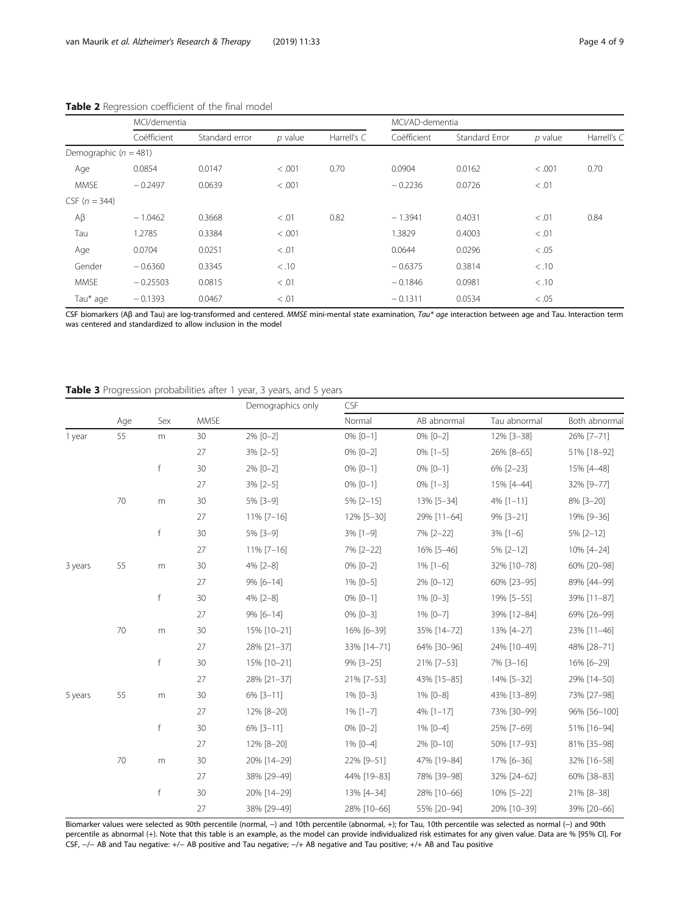|                         | MCI/dementia |                |           |             | MCI/AD-dementia |                |           |             |
|-------------------------|--------------|----------------|-----------|-------------|-----------------|----------------|-----------|-------------|
|                         | Coëfficient  | Standard error | $p$ value | Harrell's C | Coëfficient     | Standard Error | $p$ value | Harrell's C |
| Demographic $(n = 481)$ |              |                |           |             |                 |                |           |             |
| Age                     | 0.0854       | 0.0147         | < 0.001   | 0.70        | 0.0904          | 0.0162         | < 0.001   | 0.70        |
| <b>MMSE</b>             | $-0.2497$    | 0.0639         | < .001    |             | $-0.2236$       | 0.0726         | < 0.01    |             |
| CSF $(n = 344)$         |              |                |           |             |                 |                |           |             |
| $A\beta$                | $-1.0462$    | 0.3668         | < 0.01    | 0.82        | $-1.3941$       | 0.4031         | < 0.01    | 0.84        |
| Tau                     | 1.2785       | 0.3384         | < .001    |             | 1.3829          | 0.4003         | < 0.01    |             |
| Age                     | 0.0704       | 0.0251         | < 0.01    |             | 0.0644          | 0.0296         | < 0.05    |             |
| Gender                  | $-0.6360$    | 0.3345         | < .10     |             | $-0.6375$       | 0.3814         | < .10     |             |
| <b>MMSE</b>             | $-0.25503$   | 0.0815         | < 0.01    |             | $-0.1846$       | 0.0981         | < .10     |             |
| Tau* age                | $-0.1393$    | 0.0467         | < 0.01    |             | $-0.1311$       | 0.0534         | < 0.05    |             |

# <span id="page-3-0"></span>Table 2 Regression coefficient of the final model

CSF biomarkers (Aβ and Tau) are log-transformed and centered. MMSE mini-mental state examination, Tau\* age interaction between age and Tau. Interaction term was centered and standardized to allow inclusion in the model

# Table 3 Progression probabilities after 1 year, 3 years, and 5 years

|         |     | Sex          |             | Demographics only | CSF           |               |              |               |
|---------|-----|--------------|-------------|-------------------|---------------|---------------|--------------|---------------|
|         | Age |              | <b>MMSE</b> |                   | Normal        | AB abnormal   | Tau abnormal | Both abnormal |
| 1 year  | 55  | m            | 30          | 2% [0-2]          | $0\%$ $[0-1]$ | $0\%$ $[0-2]$ | 12% [3-38]   | 26% [7-71]    |
|         |     |              | 27          | $3\%$ [2-5]       | $0\%$ $[0-2]$ | $0\%$ [1-5]   | 26% [8-65]   | 51% [18-92]   |
|         |     | f            | 30          | 2% [0-2]          | $0\%$ $[0-1]$ | $0\%$ $[0-1]$ | 6% [2-23]    | 15% [4-48]    |
|         |     |              | 27          | $3\%$ [2-5]       | $0\%$ $[0-1]$ | $0\%$ $[1-3]$ | 15% [4-44]   | 32% [9-77]    |
|         | 70  | m            | 30          | 5% [3-9]          | $5\%$ [2-15]  | 13% [5-34]    | 4% [1-11]    | 8% [3-20]     |
|         |     |              | 27          | $11\%$ [7-16]     | 12% [5-30]    | 29% [11-64]   | 9% [3-21]    | 19% [9-36]    |
|         |     | f            | 30          | 5% [3-9]          | $3\%$ $[1-9]$ | 7% [2-22]     | $3\%$ [1-6]  | 5% [2-12]     |
|         |     |              | 27          | $11\%$ [7-16]     | 7% [2-22]     | 16% [5-46]    | 5% [2-12]    | 10% [4-24]    |
| 3 years | 55  | $\mathsf m$  | 30          | 4% [2-8]          | $0\%$ $[0-2]$ | $1\%$ [1-6]   | 32% [10-78]  | 60% [20-98]   |
|         |     |              | 27          | $9\%$ [6-14]      | 1% [0-5]      | 2% [0-12]     | 60% [23-95]  | 89% [44-99]   |
|         |     | f            | 30          | 4% [2-8]          | $0\%$ $[0-1]$ | $1\%$ [0-3]   | 19% [5-55]   | 39% [11-87]   |
|         |     |              | 27          | 9% [6-14]         | $0\%$ $[0-3]$ | 1% [0-7]      | 39% [12-84]  | 69% [26-99]   |
|         | 70  | $\mathsf m$  | 30          | 15% [10-21]       | 16% [6-39]    | 35% [14-72]   | 13% [4-27]   | 23% [11-46]   |
|         |     |              | 27          | 28% [21-37]       | 33% [14-71]   | 64% [30-96]   | 24% [10-49]  | 48% [28-71]   |
|         |     | $\mathsf{f}$ | 30          | 15% [10-21]       | 9% [3-25]     | 21% [7-53]    | 7% [3-16]    | 16% [6-29]    |
|         |     |              | 27          | 28% [21-37]       | 21% [7-53]    | 43% [15-85]   | 14% [5-32]   | 29% [14-50]   |
| 5 years | 55  | m            | 30          | 6% [3-11]         | $1\%$ [0-3]   | 1% [0-8]      | 43% [13-89]  | 73% [27-98]   |
|         |     |              | 27          | 12% [8-20]        | $1\%$ $[1-7]$ | 4% [1-17]     | 73% [30-99]  | 96% [56-100]  |
|         |     | f            | 30          | 6% [3-11]         | $0\%$ $[0-2]$ | $1\%$ [0-4]   | 25% [7-69]   | 51% [16-94]   |
|         |     |              | 27          | 12% [8-20]        | 1% [0-4]      | 2% [0-10]     | 50% [17-93]  | 81% [35-98]   |
|         | 70  | m            | 30          | 20% [14-29]       | 22% [9-51]    | 47% [19-84]   | 17% [6-36]   | 32% [16-58]   |
|         |     |              | 27          | 38% [29-49]       | 44% [19-83]   | 78% [39-98]   | 32% [24-62]  | 60% [38-83]   |
|         |     | f            | 30          | 20% [14-29]       | 13% [4-34]    | 28% [10-66]   | 10% [5-22]   | 21% [8-38]    |
|         |     |              | 27          | 38% [29-49]       | 28% [10-66]   | 55% [20-94]   | 20% [10-39]  | 39% [20-66]   |

Biomarker values were selected as 90th percentile (normal, −) and 10th percentile (abnormal, +); for Tau, 10th percentile was selected as normal (−) and 90th percentile as abnormal (+). Note that this table is an example, as the model can provide individualized risk estimates for any given value. Data are % [95% CI]. For CSF, −/− AB and Tau negative: +/− AB positive and Tau negative; −/+ AB negative and Tau positive; +/+ AB and Tau positive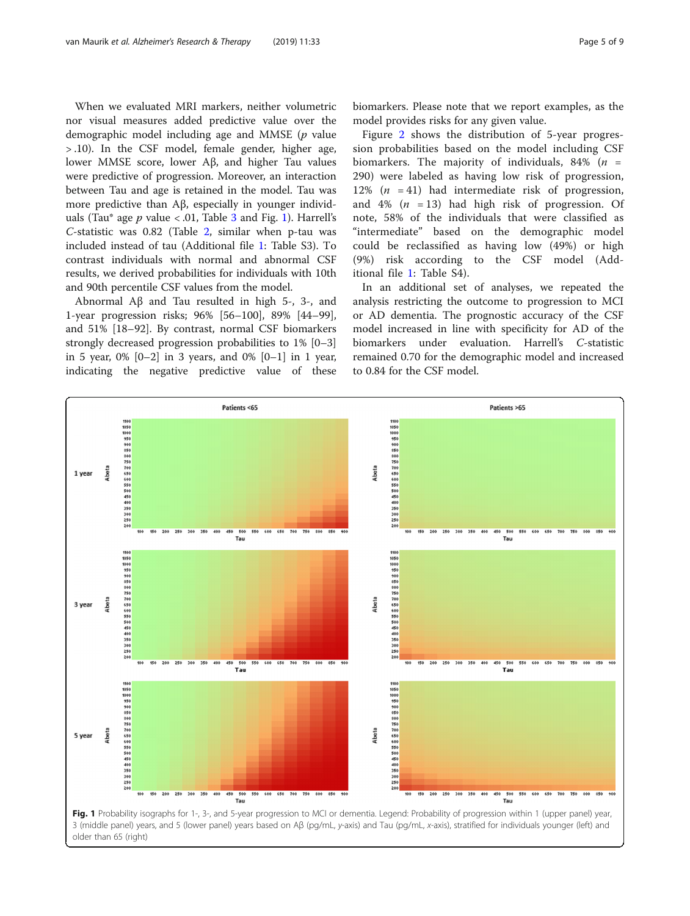When we evaluated MRI markers, neither volumetric nor visual measures added predictive value over the demographic model including age and MMSE  $(p \text{ value})$ > .10). In the CSF model, female gender, higher age, lower MMSE score, lower Aβ, and higher Tau values were predictive of progression. Moreover, an interaction between Tau and age is retained in the model. Tau was more predictive than Aβ, especially in younger individuals (Tau\* age  $p$  value < .01, Table [3](#page-3-0) and Fig. 1). Harrell's C-statistic was 0.82 (Table [2,](#page-3-0) similar when p-tau was included instead of tau (Additional file [1](#page-7-0): Table S3). To contrast individuals with normal and abnormal CSF results, we derived probabilities for individuals with 10th and 90th percentile CSF values from the model.

Abnormal Aβ and Tau resulted in high 5-, 3-, and 1-year progression risks; 96% [56–100], 89% [44–99], and 51% [18–92]. By contrast, normal CSF biomarkers strongly decreased progression probabilities to 1% [0–3] in 5 year, 0% [0–2] in 3 years, and 0% [0–1] in 1 year, indicating the negative predictive value of these

biomarkers. Please note that we report examples, as the model provides risks for any given value.

Figure [2](#page-5-0) shows the distribution of 5-year progression probabilities based on the model including CSF biomarkers. The majority of individuals, 84% ( $n =$ 290) were labeled as having low risk of progression, 12%  $(n = 41)$  had intermediate risk of progression, and 4%  $(n = 13)$  had high risk of progression. Of note, 58% of the individuals that were classified as "intermediate" based on the demographic model could be reclassified as having low (49%) or high (9%) risk according to the CSF model (Additional file [1:](#page-7-0) Table S4).

In an additional set of analyses, we repeated the analysis restricting the outcome to progression to MCI or AD dementia. The prognostic accuracy of the CSF model increased in line with specificity for AD of the biomarkers under evaluation. Harrell's C-statistic remained 0.70 for the demographic model and increased to 0.84 for the CSF model.

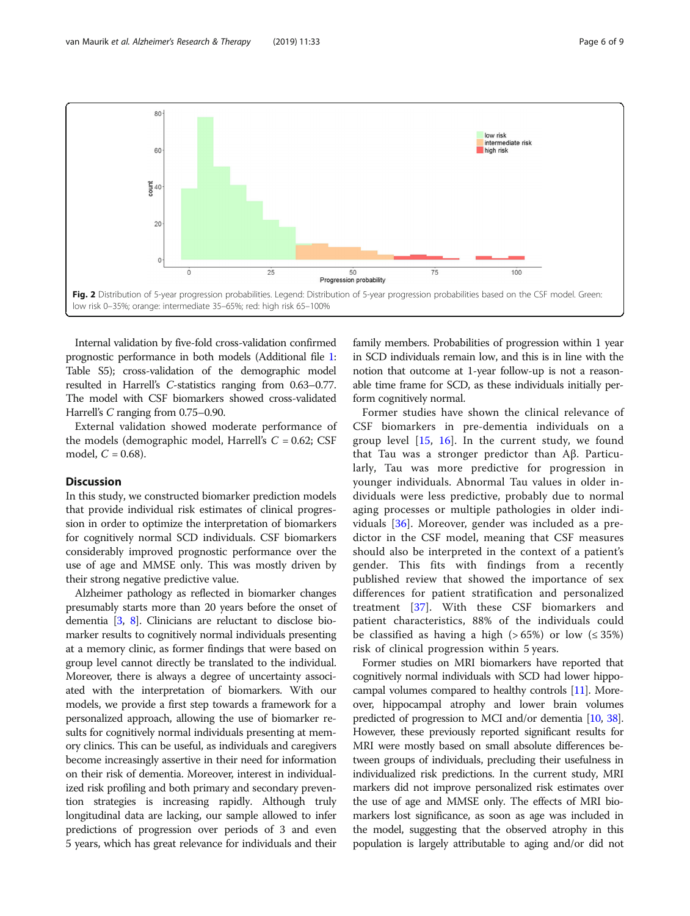<span id="page-5-0"></span>

Internal validation by five-fold cross-validation confirmed prognostic performance in both models (Additional file [1](#page-7-0): Table S5); cross-validation of the demographic model resulted in Harrell's C-statistics ranging from 0.63–0.77. The model with CSF biomarkers showed cross-validated Harrell's C ranging from 0.75–0.90.

External validation showed moderate performance of the models (demographic model, Harrell's  $C = 0.62$ ; CSF model,  $C = 0.68$ ).

# **Discussion**

In this study, we constructed biomarker prediction models that provide individual risk estimates of clinical progression in order to optimize the interpretation of biomarkers for cognitively normal SCD individuals. CSF biomarkers considerably improved prognostic performance over the use of age and MMSE only. This was mostly driven by their strong negative predictive value.

Alzheimer pathology as reflected in biomarker changes presumably starts more than 20 years before the onset of dementia [\[3,](#page-8-0) [8](#page-8-0)]. Clinicians are reluctant to disclose biomarker results to cognitively normal individuals presenting at a memory clinic, as former findings that were based on group level cannot directly be translated to the individual. Moreover, there is always a degree of uncertainty associated with the interpretation of biomarkers. With our models, we provide a first step towards a framework for a personalized approach, allowing the use of biomarker results for cognitively normal individuals presenting at memory clinics. This can be useful, as individuals and caregivers become increasingly assertive in their need for information on their risk of dementia. Moreover, interest in individualized risk profiling and both primary and secondary prevention strategies is increasing rapidly. Although truly longitudinal data are lacking, our sample allowed to infer predictions of progression over periods of 3 and even 5 years, which has great relevance for individuals and their family members. Probabilities of progression within 1 year in SCD individuals remain low, and this is in line with the notion that outcome at 1-year follow-up is not a reasonable time frame for SCD, as these individuals initially perform cognitively normal.

Former studies have shown the clinical relevance of CSF biomarkers in pre-dementia individuals on a group level [[15,](#page-8-0) [16](#page-8-0)]. In the current study, we found that Tau was a stronger predictor than Aβ. Particularly, Tau was more predictive for progression in younger individuals. Abnormal Tau values in older individuals were less predictive, probably due to normal aging processes or multiple pathologies in older individuals [\[36](#page-8-0)]. Moreover, gender was included as a predictor in the CSF model, meaning that CSF measures should also be interpreted in the context of a patient's gender. This fits with findings from a recently published review that showed the importance of sex differences for patient stratification and personalized treatment [[37](#page-8-0)]. With these CSF biomarkers and patient characteristics, 88% of the individuals could be classified as having a high (>  $65\%$ ) or low ( $\leq 35\%$ ) risk of clinical progression within 5 years.

Former studies on MRI biomarkers have reported that cognitively normal individuals with SCD had lower hippocampal volumes compared to healthy controls [[11](#page-8-0)]. Moreover, hippocampal atrophy and lower brain volumes predicted of progression to MCI and/or dementia [\[10,](#page-8-0) [38](#page-8-0)]. However, these previously reported significant results for MRI were mostly based on small absolute differences between groups of individuals, precluding their usefulness in individualized risk predictions. In the current study, MRI markers did not improve personalized risk estimates over the use of age and MMSE only. The effects of MRI biomarkers lost significance, as soon as age was included in the model, suggesting that the observed atrophy in this population is largely attributable to aging and/or did not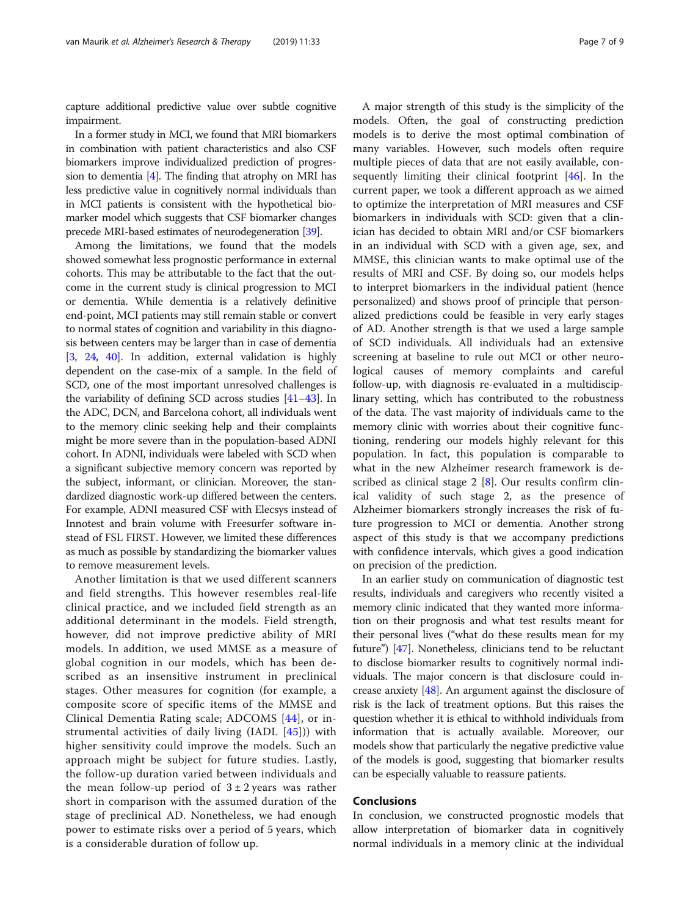capture additional predictive value over subtle cognitive impairment.

In a former study in MCI, we found that MRI biomarkers in combination with patient characteristics and also CSF biomarkers improve individualized prediction of progression to dementia [\[4](#page-8-0)]. The finding that atrophy on MRI has less predictive value in cognitively normal individuals than in MCI patients is consistent with the hypothetical biomarker model which suggests that CSF biomarker changes precede MRI-based estimates of neurodegeneration [\[39](#page-8-0)].

Among the limitations, we found that the models showed somewhat less prognostic performance in external cohorts. This may be attributable to the fact that the outcome in the current study is clinical progression to MCI or dementia. While dementia is a relatively definitive end-point, MCI patients may still remain stable or convert to normal states of cognition and variability in this diagnosis between centers may be larger than in case of dementia [[3,](#page-8-0) [24,](#page-8-0) [40](#page-8-0)]. In addition, external validation is highly dependent on the case-mix of a sample. In the field of SCD, one of the most important unresolved challenges is the variability of defining SCD across studies [\[41](#page-8-0)–[43](#page-8-0)]. In the ADC, DCN, and Barcelona cohort, all individuals went to the memory clinic seeking help and their complaints might be more severe than in the population-based ADNI cohort. In ADNI, individuals were labeled with SCD when a significant subjective memory concern was reported by the subject, informant, or clinician. Moreover, the standardized diagnostic work-up differed between the centers. For example, ADNI measured CSF with Elecsys instead of Innotest and brain volume with Freesurfer software instead of FSL FIRST. However, we limited these differences as much as possible by standardizing the biomarker values to remove measurement levels.

Another limitation is that we used different scanners and field strengths. This however resembles real-life clinical practice, and we included field strength as an additional determinant in the models. Field strength, however, did not improve predictive ability of MRI models. In addition, we used MMSE as a measure of global cognition in our models, which has been described as an insensitive instrument in preclinical stages. Other measures for cognition (for example, a composite score of specific items of the MMSE and Clinical Dementia Rating scale; ADCOMS [\[44](#page-8-0)], or instrumental activities of daily living (IADL [[45\]](#page-8-0))) with higher sensitivity could improve the models. Such an approach might be subject for future studies. Lastly, the follow-up duration varied between individuals and the mean follow-up period of  $3 \pm 2$  years was rather short in comparison with the assumed duration of the stage of preclinical AD. Nonetheless, we had enough power to estimate risks over a period of 5 years, which is a considerable duration of follow up.

A major strength of this study is the simplicity of the models. Often, the goal of constructing prediction models is to derive the most optimal combination of many variables. However, such models often require multiple pieces of data that are not easily available, consequently limiting their clinical footprint [[46](#page-8-0)]. In the current paper, we took a different approach as we aimed to optimize the interpretation of MRI measures and CSF biomarkers in individuals with SCD: given that a clinician has decided to obtain MRI and/or CSF biomarkers in an individual with SCD with a given age, sex, and MMSE, this clinician wants to make optimal use of the results of MRI and CSF. By doing so, our models helps to interpret biomarkers in the individual patient (hence personalized) and shows proof of principle that personalized predictions could be feasible in very early stages of AD. Another strength is that we used a large sample of SCD individuals. All individuals had an extensive screening at baseline to rule out MCI or other neurological causes of memory complaints and careful follow-up, with diagnosis re-evaluated in a multidisciplinary setting, which has contributed to the robustness of the data. The vast majority of individuals came to the memory clinic with worries about their cognitive functioning, rendering our models highly relevant for this population. In fact, this population is comparable to what in the new Alzheimer research framework is de-scribed as clinical stage 2 [[8\]](#page-8-0). Our results confirm clinical validity of such stage 2, as the presence of Alzheimer biomarkers strongly increases the risk of future progression to MCI or dementia. Another strong aspect of this study is that we accompany predictions with confidence intervals, which gives a good indication on precision of the prediction.

In an earlier study on communication of diagnostic test results, individuals and caregivers who recently visited a memory clinic indicated that they wanted more information on their prognosis and what test results meant for their personal lives ("what do these results mean for my future") [\[47\]](#page-8-0). Nonetheless, clinicians tend to be reluctant to disclose biomarker results to cognitively normal individuals. The major concern is that disclosure could increase anxiety [\[48\]](#page-8-0). An argument against the disclosure of risk is the lack of treatment options. But this raises the question whether it is ethical to withhold individuals from information that is actually available. Moreover, our models show that particularly the negative predictive value of the models is good, suggesting that biomarker results can be especially valuable to reassure patients.

## Conclusions

In conclusion, we constructed prognostic models that allow interpretation of biomarker data in cognitively normal individuals in a memory clinic at the individual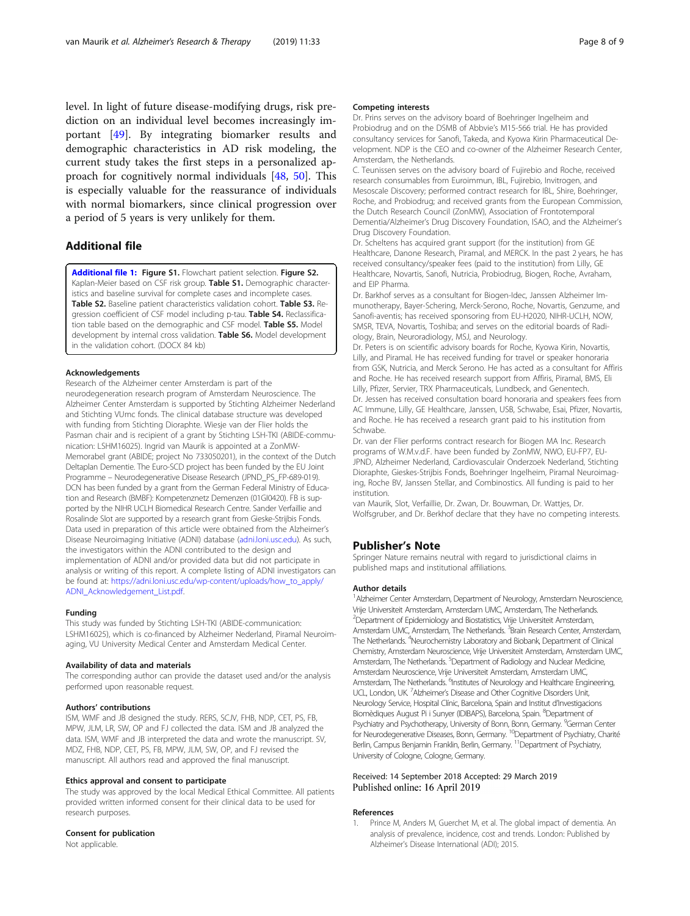<span id="page-7-0"></span>level. In light of future disease-modifying drugs, risk prediction on an individual level becomes increasingly important [[49\]](#page-8-0). By integrating biomarker results and demographic characteristics in AD risk modeling, the current study takes the first steps in a personalized approach for cognitively normal individuals [\[48](#page-8-0), [50](#page-8-0)]. This is especially valuable for the reassurance of individuals with normal biomarkers, since clinical progression over a period of 5 years is very unlikely for them.

# Additional file

[Additional file 1:](https://doi.org/10.1186/s13195-019-0487-y) Figure S1. Flowchart patient selection. Figure S2. Kaplan-Meier based on CSF risk group. Table S1. Demographic characteristics and baseline survival for complete cases and incomplete cases. Table S2. Baseline patient characteristics validation cohort. Table S3. Regression coefficient of CSF model including p-tau. Table S4. Reclassification table based on the demographic and CSF model. Table S5. Model development by internal cross validation. Table S6. Model development in the validation cohort. (DOCX 84 kb)

## Acknowledgements

Research of the Alzheimer center Amsterdam is part of the neurodegeneration research program of Amsterdam Neuroscience. The Alzheimer Center Amsterdam is supported by Stichting Alzheimer Nederland and Stichting VUmc fonds. The clinical database structure was developed with funding from Stichting Dioraphte. Wiesje van der Flier holds the Pasman chair and is recipient of a grant by Stichting LSH-TKI (ABIDE-communication: LSHM16025). Ingrid van Maurik is appointed at a ZonMW-Memorabel grant (ABIDE; project No 733050201), in the context of the Dutch Deltaplan Dementie. The Euro-SCD project has been funded by the EU Joint Programme – Neurodegenerative Disease Research (JPND\_PS\_FP-689-019). DCN has been funded by a grant from the German Federal Ministry of Education and Research (BMBF): Kompetenznetz Demenzen (01GI0420). FB is supported by the NIHR UCLH Biomedical Research Centre. Sander Verfaillie and Rosalinde Slot are supported by a research grant from Gieske-Strijbis Fonds. Data used in preparation of this article were obtained from the Alzheimer's Disease Neuroimaging Initiative (ADNI) database ([adni.loni.usc.edu](http://adni.loni.usc.edu)). As such, the investigators within the ADNI contributed to the design and implementation of ADNI and/or provided data but did not participate in analysis or writing of this report. A complete listing of ADNI investigators can be found at: [https://adni.loni.usc.edu/wp-content/uploads/how\\_to\\_apply/](https://adni.loni.usc.edu/wp-content/uploads/how_to_apply/ADNI_Acknowledgement_List.pdf) [ADNI\\_Acknowledgement\\_List.pdf](https://adni.loni.usc.edu/wp-content/uploads/how_to_apply/ADNI_Acknowledgement_List.pdf).

### Funding

This study was funded by Stichting LSH-TKI (ABIDE-communication: LSHM16025), which is co-financed by Alzheimer Nederland, Piramal Neuroimaging, VU University Medical Center and Amsterdam Medical Center.

## Availability of data and materials

The corresponding author can provide the dataset used and/or the analysis performed upon reasonable request.

## Authors' contributions

ISM, WMF and JB designed the study. RERS, SCJV, FHB, NDP, CET, PS, FB, MPW, JLM, LR, SW, OP and FJ collected the data. ISM and JB analyzed the data. ISM, WMF and JB interpreted the data and wrote the manuscript. SV, MDZ, FHB, NDP, CET, PS, FB, MPW, JLM, SW, OP, and FJ revised the manuscript. All authors read and approved the final manuscript.

## Ethics approval and consent to participate

The study was approved by the local Medical Ethical Committee. All patients provided written informed consent for their clinical data to be used for research purposes.

## Consent for publication

Not applicable.

### Competing interests

Dr. Prins serves on the advisory board of Boehringer Ingelheim and Probiodrug and on the DSMB of Abbvie's M15-566 trial. He has provided consultancy services for Sanofi, Takeda, and Kyowa Kirin Pharmaceutical Development. NDP is the CEO and co-owner of the Alzheimer Research Center, Amsterdam, the Netherlands.

C. Teunissen serves on the advisory board of Fujirebio and Roche, received research consumables from Euroimmun, IBL, Fujirebio, Invitrogen, and Mesoscale Discovery; performed contract research for IBL, Shire, Boehringer, Roche, and Probiodrug; and received grants from the European Commission, the Dutch Research Council (ZonMW), Association of Frontotemporal Dementia/Alzheimer's Drug Discovery Foundation, ISAO, and the Alzheimer's Drug Discovery Foundation.

Dr. Scheltens has acquired grant support (for the institution) from GE Healthcare, Danone Research, Piramal, and MERCK. In the past 2 years, he has received consultancy/speaker fees (paid to the institution) from Lilly, GE Healthcare, Novartis, Sanofi, Nutricia, Probiodrug, Biogen, Roche, Avraham, and EIP Pharma.

Dr. Barkhof serves as a consultant for Biogen-Idec, Janssen Alzheimer Immunotherapy, Bayer-Schering, Merck-Serono, Roche, Novartis, Genzume, and Sanofi-aventis; has received sponsoring from EU-H2020, NIHR-UCLH, NOW, SMSR, TEVA, Novartis, Toshiba; and serves on the editorial boards of Radiology, Brain, Neuroradiology, MSJ, and Neurology.

Dr. Peters is on scientific advisory boards for Roche, Kyowa Kirin, Novartis, Lilly, and Piramal. He has received funding for travel or speaker honoraria from GSK, Nutricia, and Merck Serono. He has acted as a consultant for Affiris and Roche. He has received research support from Affiris, Piramal, BMS, Eli Lilly, Pfizer, Servier, TRX Pharmaceuticals, Lundbeck, and Genentech. Dr. Jessen has received consultation board honoraria and speakers fees from AC Immune, Lilly, GE Healthcare, Janssen, USB, Schwabe, Esai, Pfizer, Novartis, and Roche. He has received a research grant paid to his institution from Schwabe.

Dr. van der Flier performs contract research for Biogen MA Inc. Research programs of W.M.v.d.F. have been funded by ZonMW, NWO, EU-FP7, EU-JPND, Alzheimer Nederland, Cardiovasculair Onderzoek Nederland, Stichting Dioraphte, Gieskes-Strijbis Fonds, Boehringer Ingelheim, Piramal Neuroimaging, Roche BV, Janssen Stellar, and Combinostics. All funding is paid to her institution.

van Maurik, Slot, Verfaillie, Dr. Zwan, Dr. Bouwman, Dr. Wattjes, Dr. Wolfsgruber, and Dr. Berkhof declare that they have no competing interests.

## Publisher's Note

Springer Nature remains neutral with regard to jurisdictional claims in published maps and institutional affiliations.

#### Author details

<sup>1</sup> Alzheimer Center Amsterdam, Department of Neurology, Amsterdam Neuroscience Vrije Universiteit Amsterdam, Amsterdam UMC, Amsterdam, The Netherlands. <sup>2</sup>Department of Epidemiology and Biostatistics, Vrije Universiteit Amsterdam, Amsterdam UMC, Amsterdam, The Netherlands. <sup>3</sup> Brain Research Center, Amsterdam The Netherlands. <sup>4</sup>Neurochemistry Laboratory and Biobank, Department of Clinical Chemistry, Amsterdam Neuroscience, Vrije Universiteit Amsterdam, Amsterdam UMC, Amsterdam, The Netherlands. <sup>5</sup>Department of Radiology and Nuclear Medicine, Amsterdam Neuroscience, Vrije Universiteit Amsterdam, Amsterdam UMC, Amsterdam, The Netherlands. <sup>6</sup>Institutes of Neurology and Healthcare Engineering, UCL, London, UK<sup>7</sup> Alzheimer's Disease and Other Cognitive Disorders Unit, Neurology Service, Hospital Clínic, Barcelona, Spain and Institut d'Investigacions Biomèdiques August Pi i Sunyer (IDIBAPS), Barcelona, Spain. <sup>8</sup>Department of Psychiatry and Psychotherapy, University of Bonn, Bonn, Germany. <sup>9</sup>German Center for Neurodegenerative Diseases, Bonn, Germany. <sup>10</sup>Department of Psychiatry, Charité Berlin, Campus Benjamin Franklin, Berlin, Germany. <sup>11</sup>Department of Psychiatry, University of Cologne, Cologne, Germany.

## Received: 14 September 2018 Accepted: 29 March 2019 Published online: 16 April 2019

#### References

Prince M, Anders M, Guerchet M, et al. The global impact of dementia. An analysis of prevalence, incidence, cost and trends. London: Published by Alzheimer's Disease International (ADI); 2015.